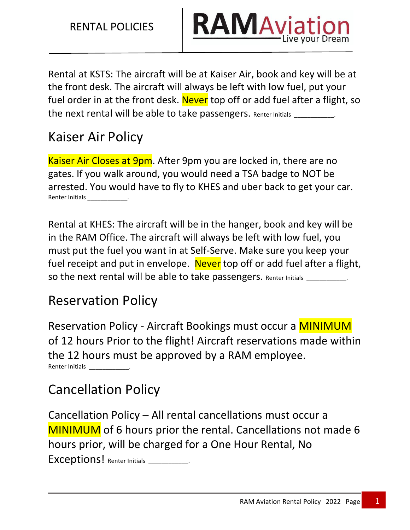

Rental at KSTS: The aircraft will be at Kaiser Air, book and key will be at the front desk. The aircraft will always be left with low fuel, put your fuel order in at the front desk. Never top off or add fuel after a flight, so the next rental will be able to take passengers. Renter Initials

# Kaiser Air Policy

Kaiser Air Closes at 9pm. After 9pm you are locked in, there are no gates. If you walk around, you would need a TSA badge to NOT be arrested. You would have to fly to KHES and uber back to get your car. Renter Initials

Rental at KHES: The aircraft will be in the hanger, book and key will be in the RAM Office. The aircraft will always be left with low fuel, you must put the fuel you want in at Self-Serve. Make sure you keep your fuel receipt and put in envelope. Never top off or add fuel after a flight, so the next rental will be able to take passengers. Renter Initials \_

# Reservation Policy

Reservation Policy - Aircraft Bookings must occur a MINIMUM of 12 hours Prior to the flight! Aircraft reservations made within the 12 hours must be approved by a RAM employee. Renter Initials

# Cancellation Policy

Cancellation Policy – All rental cancellations must occur a MINIMUM of 6 hours prior the rental. Cancellations not made 6 hours prior, will be charged for a One Hour Rental, No Exceptions! Renter Initials **Exceptions**